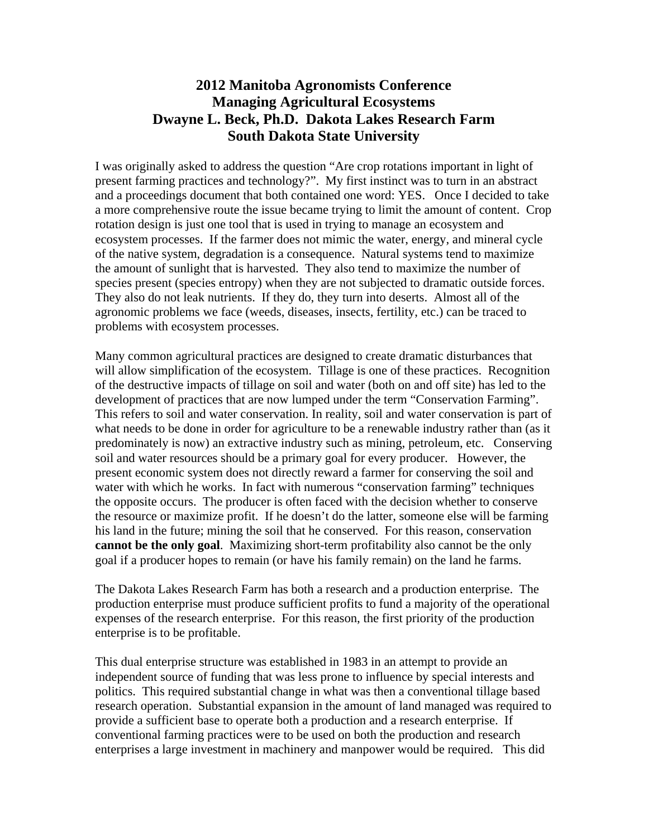# **2012 Manitoba Agronomists Conference Managing Agricultural Ecosystems Dwayne L. Beck, Ph.D. Dakota Lakes Research Farm South Dakota State University**

I was originally asked to address the question "Are crop rotations important in light of present farming practices and technology?". My first instinct was to turn in an abstract and a proceedings document that both contained one word: YES. Once I decided to take a more comprehensive route the issue became trying to limit the amount of content. Crop rotation design is just one tool that is used in trying to manage an ecosystem and ecosystem processes. If the farmer does not mimic the water, energy, and mineral cycle of the native system, degradation is a consequence. Natural systems tend to maximize the amount of sunlight that is harvested. They also tend to maximize the number of species present (species entropy) when they are not subjected to dramatic outside forces. They also do not leak nutrients. If they do, they turn into deserts. Almost all of the agronomic problems we face (weeds, diseases, insects, fertility, etc.) can be traced to problems with ecosystem processes.

Many common agricultural practices are designed to create dramatic disturbances that will allow simplification of the ecosystem. Tillage is one of these practices. Recognition of the destructive impacts of tillage on soil and water (both on and off site) has led to the development of practices that are now lumped under the term "Conservation Farming". This refers to soil and water conservation. In reality, soil and water conservation is part of what needs to be done in order for agriculture to be a renewable industry rather than (as it predominately is now) an extractive industry such as mining, petroleum, etc. Conserving soil and water resources should be a primary goal for every producer. However, the present economic system does not directly reward a farmer for conserving the soil and water with which he works. In fact with numerous "conservation farming" techniques the opposite occurs. The producer is often faced with the decision whether to conserve the resource or maximize profit. If he doesn't do the latter, someone else will be farming his land in the future; mining the soil that he conserved. For this reason, conservation **cannot be the only goal**. Maximizing short-term profitability also cannot be the only goal if a producer hopes to remain (or have his family remain) on the land he farms.

The Dakota Lakes Research Farm has both a research and a production enterprise. The production enterprise must produce sufficient profits to fund a majority of the operational expenses of the research enterprise. For this reason, the first priority of the production enterprise is to be profitable.

This dual enterprise structure was established in 1983 in an attempt to provide an independent source of funding that was less prone to influence by special interests and politics. This required substantial change in what was then a conventional tillage based research operation. Substantial expansion in the amount of land managed was required to provide a sufficient base to operate both a production and a research enterprise. If conventional farming practices were to be used on both the production and research enterprises a large investment in machinery and manpower would be required. This did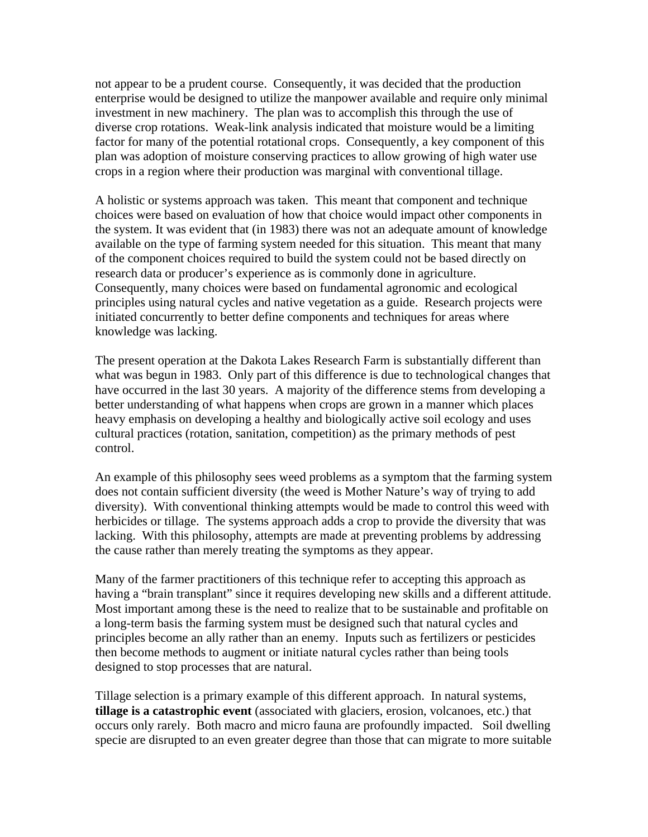not appear to be a prudent course. Consequently, it was decided that the production enterprise would be designed to utilize the manpower available and require only minimal investment in new machinery. The plan was to accomplish this through the use of diverse crop rotations. Weak-link analysis indicated that moisture would be a limiting factor for many of the potential rotational crops. Consequently, a key component of this plan was adoption of moisture conserving practices to allow growing of high water use crops in a region where their production was marginal with conventional tillage.

A holistic or systems approach was taken. This meant that component and technique choices were based on evaluation of how that choice would impact other components in the system. It was evident that (in 1983) there was not an adequate amount of knowledge available on the type of farming system needed for this situation. This meant that many of the component choices required to build the system could not be based directly on research data or producer's experience as is commonly done in agriculture. Consequently, many choices were based on fundamental agronomic and ecological principles using natural cycles and native vegetation as a guide. Research projects were initiated concurrently to better define components and techniques for areas where knowledge was lacking.

The present operation at the Dakota Lakes Research Farm is substantially different than what was begun in 1983. Only part of this difference is due to technological changes that have occurred in the last 30 years. A majority of the difference stems from developing a better understanding of what happens when crops are grown in a manner which places heavy emphasis on developing a healthy and biologically active soil ecology and uses cultural practices (rotation, sanitation, competition) as the primary methods of pest control.

An example of this philosophy sees weed problems as a symptom that the farming system does not contain sufficient diversity (the weed is Mother Nature's way of trying to add diversity). With conventional thinking attempts would be made to control this weed with herbicides or tillage. The systems approach adds a crop to provide the diversity that was lacking. With this philosophy, attempts are made at preventing problems by addressing the cause rather than merely treating the symptoms as they appear.

Many of the farmer practitioners of this technique refer to accepting this approach as having a "brain transplant" since it requires developing new skills and a different attitude. Most important among these is the need to realize that to be sustainable and profitable on a long-term basis the farming system must be designed such that natural cycles and principles become an ally rather than an enemy. Inputs such as fertilizers or pesticides then become methods to augment or initiate natural cycles rather than being tools designed to stop processes that are natural.

Tillage selection is a primary example of this different approach. In natural systems, **tillage is a catastrophic event** (associated with glaciers, erosion, volcanoes, etc.) that occurs only rarely. Both macro and micro fauna are profoundly impacted. Soil dwelling specie are disrupted to an even greater degree than those that can migrate to more suitable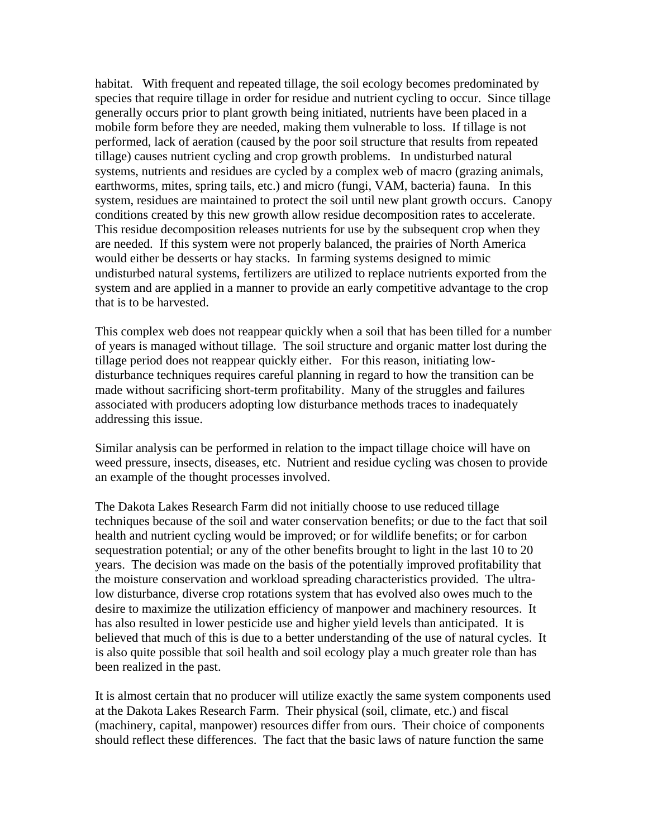habitat. With frequent and repeated tillage, the soil ecology becomes predominated by species that require tillage in order for residue and nutrient cycling to occur. Since tillage generally occurs prior to plant growth being initiated, nutrients have been placed in a mobile form before they are needed, making them vulnerable to loss. If tillage is not performed, lack of aeration (caused by the poor soil structure that results from repeated tillage) causes nutrient cycling and crop growth problems. In undisturbed natural systems, nutrients and residues are cycled by a complex web of macro (grazing animals, earthworms, mites, spring tails, etc.) and micro (fungi, VAM, bacteria) fauna. In this system, residues are maintained to protect the soil until new plant growth occurs. Canopy conditions created by this new growth allow residue decomposition rates to accelerate. This residue decomposition releases nutrients for use by the subsequent crop when they are needed. If this system were not properly balanced, the prairies of North America would either be desserts or hay stacks. In farming systems designed to mimic undisturbed natural systems, fertilizers are utilized to replace nutrients exported from the system and are applied in a manner to provide an early competitive advantage to the crop that is to be harvested.

This complex web does not reappear quickly when a soil that has been tilled for a number of years is managed without tillage. The soil structure and organic matter lost during the tillage period does not reappear quickly either. For this reason, initiating lowdisturbance techniques requires careful planning in regard to how the transition can be made without sacrificing short-term profitability. Many of the struggles and failures associated with producers adopting low disturbance methods traces to inadequately addressing this issue.

Similar analysis can be performed in relation to the impact tillage choice will have on weed pressure, insects, diseases, etc. Nutrient and residue cycling was chosen to provide an example of the thought processes involved.

The Dakota Lakes Research Farm did not initially choose to use reduced tillage techniques because of the soil and water conservation benefits; or due to the fact that soil health and nutrient cycling would be improved; or for wildlife benefits; or for carbon sequestration potential; or any of the other benefits brought to light in the last 10 to 20 years. The decision was made on the basis of the potentially improved profitability that the moisture conservation and workload spreading characteristics provided. The ultralow disturbance, diverse crop rotations system that has evolved also owes much to the desire to maximize the utilization efficiency of manpower and machinery resources. It has also resulted in lower pesticide use and higher yield levels than anticipated. It is believed that much of this is due to a better understanding of the use of natural cycles. It is also quite possible that soil health and soil ecology play a much greater role than has been realized in the past.

It is almost certain that no producer will utilize exactly the same system components used at the Dakota Lakes Research Farm. Their physical (soil, climate, etc.) and fiscal (machinery, capital, manpower) resources differ from ours. Their choice of components should reflect these differences. The fact that the basic laws of nature function the same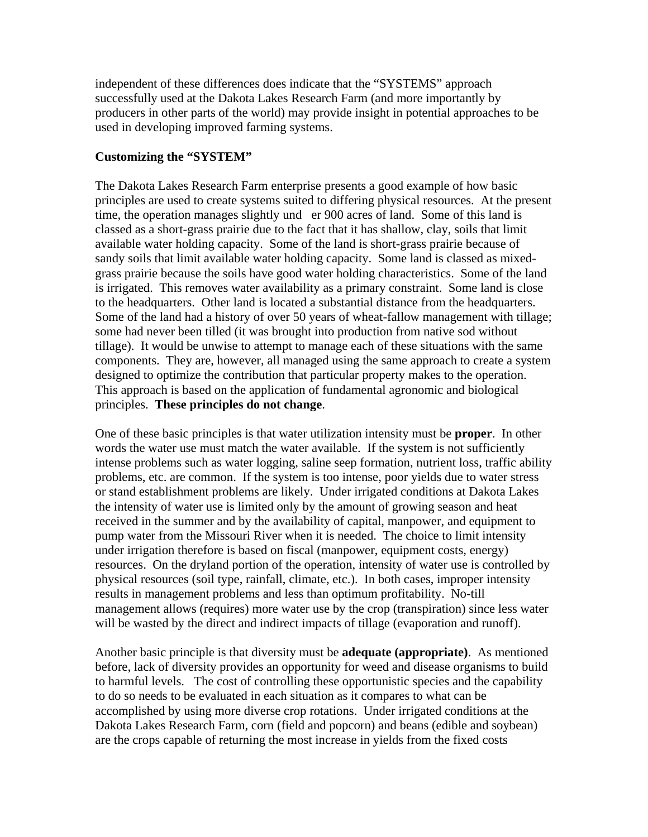independent of these differences does indicate that the "SYSTEMS" approach successfully used at the Dakota Lakes Research Farm (and more importantly by producers in other parts of the world) may provide insight in potential approaches to be used in developing improved farming systems.

### **Customizing the "SYSTEM"**

The Dakota Lakes Research Farm enterprise presents a good example of how basic principles are used to create systems suited to differing physical resources. At the present time, the operation manages slightly und er 900 acres of land. Some of this land is classed as a short-grass prairie due to the fact that it has shallow, clay, soils that limit available water holding capacity. Some of the land is short-grass prairie because of sandy soils that limit available water holding capacity. Some land is classed as mixedgrass prairie because the soils have good water holding characteristics. Some of the land is irrigated. This removes water availability as a primary constraint. Some land is close to the headquarters. Other land is located a substantial distance from the headquarters. Some of the land had a history of over 50 years of wheat-fallow management with tillage; some had never been tilled (it was brought into production from native sod without tillage). It would be unwise to attempt to manage each of these situations with the same components. They are, however, all managed using the same approach to create a system designed to optimize the contribution that particular property makes to the operation. This approach is based on the application of fundamental agronomic and biological principles. **These principles do not change**.

One of these basic principles is that water utilization intensity must be **proper**. In other words the water use must match the water available. If the system is not sufficiently intense problems such as water logging, saline seep formation, nutrient loss, traffic ability problems, etc. are common. If the system is too intense, poor yields due to water stress or stand establishment problems are likely. Under irrigated conditions at Dakota Lakes the intensity of water use is limited only by the amount of growing season and heat received in the summer and by the availability of capital, manpower, and equipment to pump water from the Missouri River when it is needed. The choice to limit intensity under irrigation therefore is based on fiscal (manpower, equipment costs, energy) resources. On the dryland portion of the operation, intensity of water use is controlled by physical resources (soil type, rainfall, climate, etc.). In both cases, improper intensity results in management problems and less than optimum profitability. No-till management allows (requires) more water use by the crop (transpiration) since less water will be wasted by the direct and indirect impacts of tillage (evaporation and runoff).

Another basic principle is that diversity must be **adequate (appropriate)**. As mentioned before, lack of diversity provides an opportunity for weed and disease organisms to build to harmful levels. The cost of controlling these opportunistic species and the capability to do so needs to be evaluated in each situation as it compares to what can be accomplished by using more diverse crop rotations. Under irrigated conditions at the Dakota Lakes Research Farm, corn (field and popcorn) and beans (edible and soybean) are the crops capable of returning the most increase in yields from the fixed costs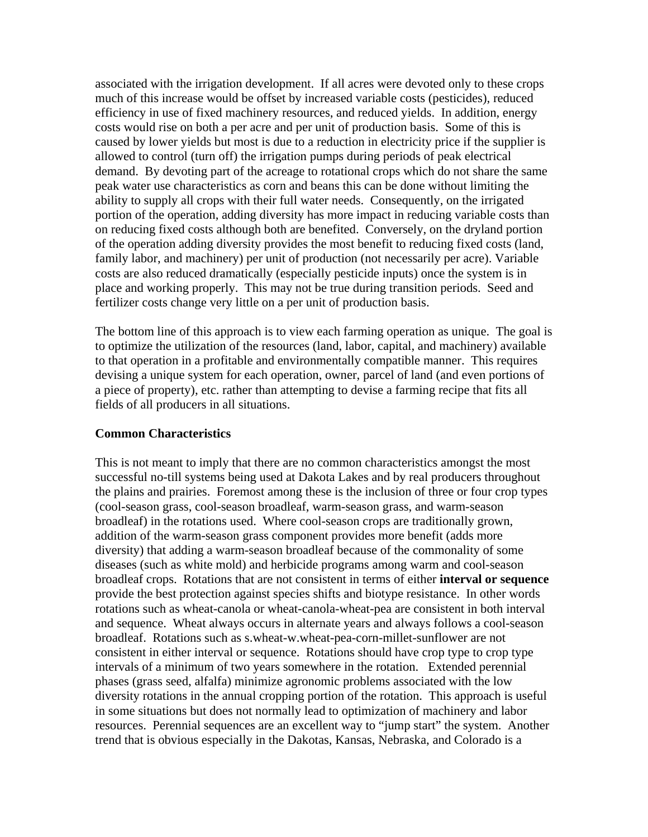associated with the irrigation development. If all acres were devoted only to these crops much of this increase would be offset by increased variable costs (pesticides), reduced efficiency in use of fixed machinery resources, and reduced yields. In addition, energy costs would rise on both a per acre and per unit of production basis. Some of this is caused by lower yields but most is due to a reduction in electricity price if the supplier is allowed to control (turn off) the irrigation pumps during periods of peak electrical demand. By devoting part of the acreage to rotational crops which do not share the same peak water use characteristics as corn and beans this can be done without limiting the ability to supply all crops with their full water needs. Consequently, on the irrigated portion of the operation, adding diversity has more impact in reducing variable costs than on reducing fixed costs although both are benefited. Conversely, on the dryland portion of the operation adding diversity provides the most benefit to reducing fixed costs (land, family labor, and machinery) per unit of production (not necessarily per acre). Variable costs are also reduced dramatically (especially pesticide inputs) once the system is in place and working properly. This may not be true during transition periods. Seed and fertilizer costs change very little on a per unit of production basis.

The bottom line of this approach is to view each farming operation as unique. The goal is to optimize the utilization of the resources (land, labor, capital, and machinery) available to that operation in a profitable and environmentally compatible manner. This requires devising a unique system for each operation, owner, parcel of land (and even portions of a piece of property), etc. rather than attempting to devise a farming recipe that fits all fields of all producers in all situations.

#### **Common Characteristics**

This is not meant to imply that there are no common characteristics amongst the most successful no-till systems being used at Dakota Lakes and by real producers throughout the plains and prairies. Foremost among these is the inclusion of three or four crop types (cool-season grass, cool-season broadleaf, warm-season grass, and warm-season broadleaf) in the rotations used. Where cool-season crops are traditionally grown, addition of the warm-season grass component provides more benefit (adds more diversity) that adding a warm-season broadleaf because of the commonality of some diseases (such as white mold) and herbicide programs among warm and cool-season broadleaf crops. Rotations that are not consistent in terms of either **interval or sequence** provide the best protection against species shifts and biotype resistance. In other words rotations such as wheat-canola or wheat-canola-wheat-pea are consistent in both interval and sequence. Wheat always occurs in alternate years and always follows a cool-season broadleaf. Rotations such as s.wheat-w.wheat-pea-corn-millet-sunflower are not consistent in either interval or sequence. Rotations should have crop type to crop type intervals of a minimum of two years somewhere in the rotation. Extended perennial phases (grass seed, alfalfa) minimize agronomic problems associated with the low diversity rotations in the annual cropping portion of the rotation. This approach is useful in some situations but does not normally lead to optimization of machinery and labor resources. Perennial sequences are an excellent way to "jump start" the system. Another trend that is obvious especially in the Dakotas, Kansas, Nebraska, and Colorado is a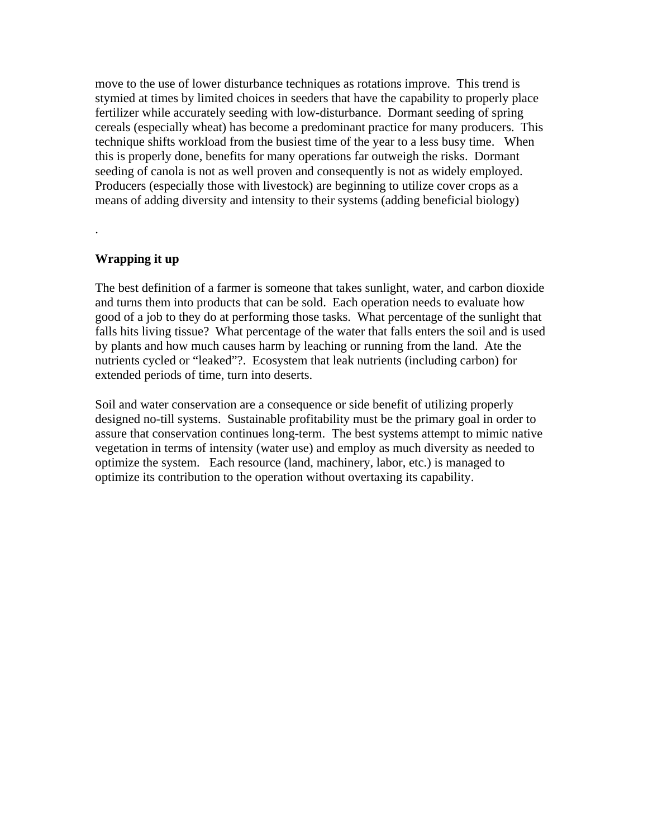move to the use of lower disturbance techniques as rotations improve. This trend is stymied at times by limited choices in seeders that have the capability to properly place fertilizer while accurately seeding with low-disturbance. Dormant seeding of spring cereals (especially wheat) has become a predominant practice for many producers. This technique shifts workload from the busiest time of the year to a less busy time. When this is properly done, benefits for many operations far outweigh the risks. Dormant seeding of canola is not as well proven and consequently is not as widely employed. Producers (especially those with livestock) are beginning to utilize cover crops as a means of adding diversity and intensity to their systems (adding beneficial biology)

### **Wrapping it up**

.

The best definition of a farmer is someone that takes sunlight, water, and carbon dioxide and turns them into products that can be sold. Each operation needs to evaluate how good of a job to they do at performing those tasks. What percentage of the sunlight that falls hits living tissue? What percentage of the water that falls enters the soil and is used by plants and how much causes harm by leaching or running from the land. Ate the nutrients cycled or "leaked"?. Ecosystem that leak nutrients (including carbon) for extended periods of time, turn into deserts.

Soil and water conservation are a consequence or side benefit of utilizing properly designed no-till systems. Sustainable profitability must be the primary goal in order to assure that conservation continues long-term. The best systems attempt to mimic native vegetation in terms of intensity (water use) and employ as much diversity as needed to optimize the system. Each resource (land, machinery, labor, etc.) is managed to optimize its contribution to the operation without overtaxing its capability.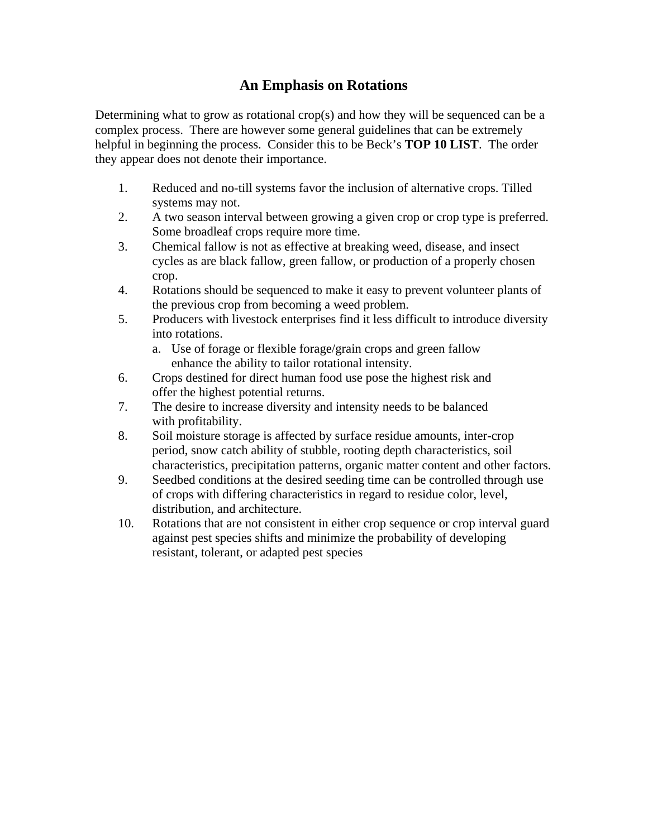# **An Emphasis on Rotations**

Determining what to grow as rotational crop(s) and how they will be sequenced can be a complex process. There are however some general guidelines that can be extremely helpful in beginning the process. Consider this to be Beck's **TOP 10 LIST**. The order they appear does not denote their importance.

- 1. Reduced and no-till systems favor the inclusion of alternative crops. Tilled systems may not.
- 2. A two season interval between growing a given crop or crop type is preferred. Some broadleaf crops require more time.
- 3. Chemical fallow is not as effective at breaking weed, disease, and insect cycles as are black fallow, green fallow, or production of a properly chosen crop.
- 4. Rotations should be sequenced to make it easy to prevent volunteer plants of the previous crop from becoming a weed problem.
- 5. Producers with livestock enterprises find it less difficult to introduce diversity into rotations.
	- a. Use of forage or flexible forage/grain crops and green fallow enhance the ability to tailor rotational intensity.
- 6. Crops destined for direct human food use pose the highest risk and offer the highest potential returns.
- 7. The desire to increase diversity and intensity needs to be balanced with profitability.
- 8. Soil moisture storage is affected by surface residue amounts, inter-crop period, snow catch ability of stubble, rooting depth characteristics, soil characteristics, precipitation patterns, organic matter content and other factors.
- 9. Seedbed conditions at the desired seeding time can be controlled through use of crops with differing characteristics in regard to residue color, level, distribution, and architecture.
- 10. Rotations that are not consistent in either crop sequence or crop interval guard against pest species shifts and minimize the probability of developing resistant, tolerant, or adapted pest species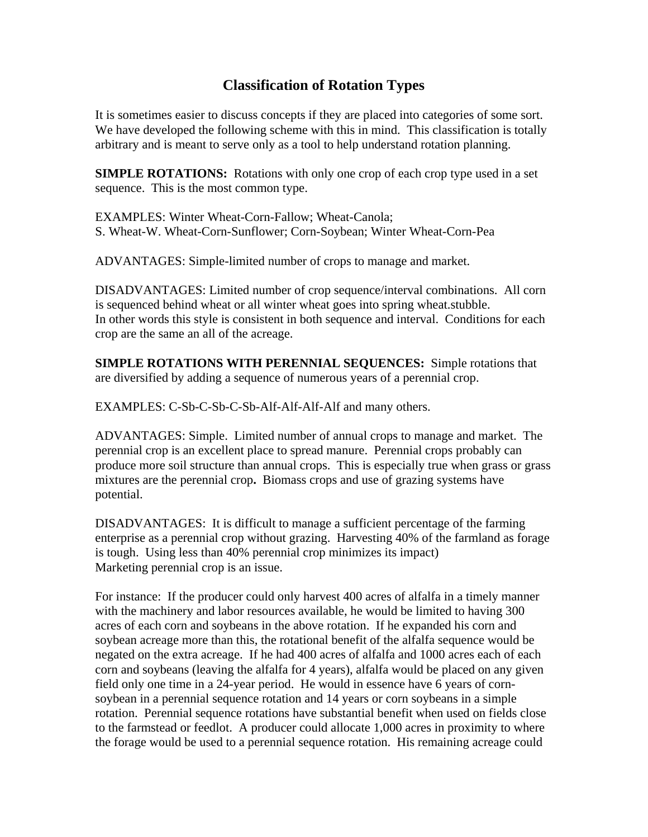# **Classification of Rotation Types**

It is sometimes easier to discuss concepts if they are placed into categories of some sort. We have developed the following scheme with this in mind. This classification is totally arbitrary and is meant to serve only as a tool to help understand rotation planning.

**SIMPLE ROTATIONS:** Rotations with only one crop of each crop type used in a set sequence. This is the most common type.

EXAMPLES: Winter Wheat-Corn-Fallow; Wheat-Canola; S. Wheat-W. Wheat-Corn-Sunflower; Corn-Soybean; Winter Wheat-Corn-Pea

ADVANTAGES: Simple-limited number of crops to manage and market.

DISADVANTAGES: Limited number of crop sequence/interval combinations. All corn is sequenced behind wheat or all winter wheat goes into spring wheat.stubble. In other words this style is consistent in both sequence and interval. Conditions for each crop are the same an all of the acreage.

**SIMPLE ROTATIONS WITH PERENNIAL SEQUENCES:** Simple rotations that are diversified by adding a sequence of numerous years of a perennial crop.

EXAMPLES: C-Sb-C-Sb-C-Sb-Alf-Alf-Alf-Alf and many others.

ADVANTAGES: Simple. Limited number of annual crops to manage and market. The perennial crop is an excellent place to spread manure. Perennial crops probably can produce more soil structure than annual crops. This is especially true when grass or grass mixtures are the perennial crop**.** Biomass crops and use of grazing systems have potential.

DISADVANTAGES: It is difficult to manage a sufficient percentage of the farming enterprise as a perennial crop without grazing. Harvesting 40% of the farmland as forage is tough. Using less than 40% perennial crop minimizes its impact) Marketing perennial crop is an issue.

For instance: If the producer could only harvest 400 acres of alfalfa in a timely manner with the machinery and labor resources available, he would be limited to having 300 acres of each corn and soybeans in the above rotation. If he expanded his corn and soybean acreage more than this, the rotational benefit of the alfalfa sequence would be negated on the extra acreage. If he had 400 acres of alfalfa and 1000 acres each of each corn and soybeans (leaving the alfalfa for 4 years), alfalfa would be placed on any given field only one time in a 24-year period. He would in essence have 6 years of cornsoybean in a perennial sequence rotation and 14 years or corn soybeans in a simple rotation. Perennial sequence rotations have substantial benefit when used on fields close to the farmstead or feedlot. A producer could allocate 1,000 acres in proximity to where the forage would be used to a perennial sequence rotation. His remaining acreage could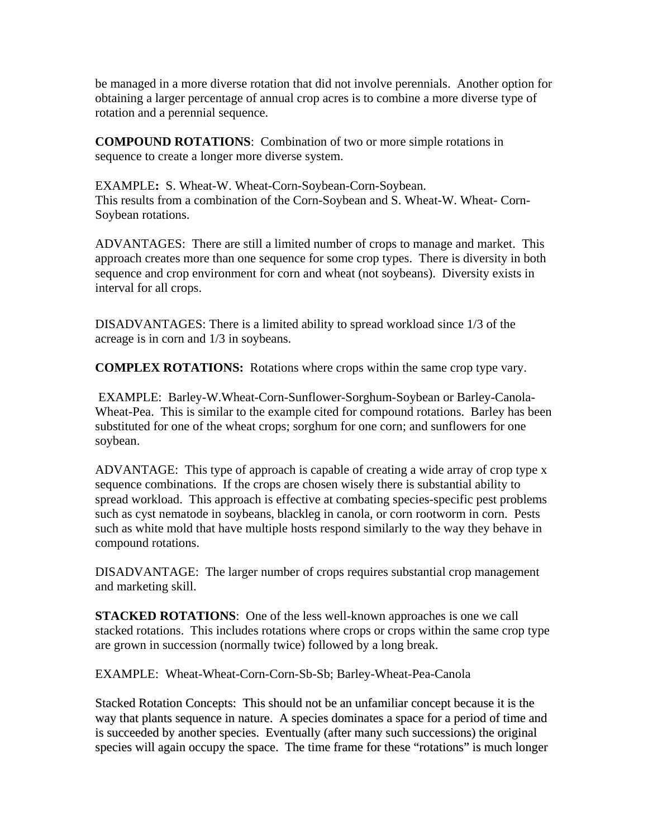be managed in a more diverse rotation that did not involve perennials. Another option for obtaining a larger percentage of annual crop acres is to combine a more diverse type of rotation and a perennial sequence.

**COMPOUND ROTATIONS**: Combination of two or more simple rotations in sequence to create a longer more diverse system.

EXAMPLE**:** S. Wheat-W. Wheat-Corn-Soybean-Corn-Soybean. This results from a combination of the Corn-Soybean and S. Wheat-W. Wheat- Corn-Soybean rotations.

ADVANTAGES: There are still a limited number of crops to manage and market. This approach creates more than one sequence for some crop types. There is diversity in both sequence and crop environment for corn and wheat (not soybeans). Diversity exists in interval for all crops.

DISADVANTAGES: There is a limited ability to spread workload since 1/3 of the acreage is in corn and 1/3 in soybeans.

**COMPLEX ROTATIONS:** Rotations where crops within the same crop type vary.

 EXAMPLE: Barley-W.Wheat-Corn-Sunflower-Sorghum-Soybean or Barley-Canola-Wheat-Pea. This is similar to the example cited for compound rotations. Barley has been substituted for one of the wheat crops; sorghum for one corn; and sunflowers for one soybean.

ADVANTAGE: This type of approach is capable of creating a wide array of crop type x sequence combinations. If the crops are chosen wisely there is substantial ability to spread workload. This approach is effective at combating species-specific pest problems such as cyst nematode in soybeans, blackleg in canola, or corn rootworm in corn. Pests such as white mold that have multiple hosts respond similarly to the way they behave in compound rotations.

DISADVANTAGE: The larger number of crops requires substantial crop management and marketing skill.

**STACKED ROTATIONS:** One of the less well-known approaches is one we call stacked rotations. This includes rotations where crops or crops within the same crop type are grown in succession (normally twice) followed by a long break.

EXAMPLE: Wheat-Wheat-Corn-Corn-Sb-Sb; Barley-Wheat-Pea-Canola

Stacked Rotation Concepts: This should not be an unfamiliar concept because it is the way that plants sequence in nature. A species dominates a space for a period of time and is succeeded by another species. Eventually (after many such successions) the original species will again occupy the space. The time frame for these "rotations" is much longer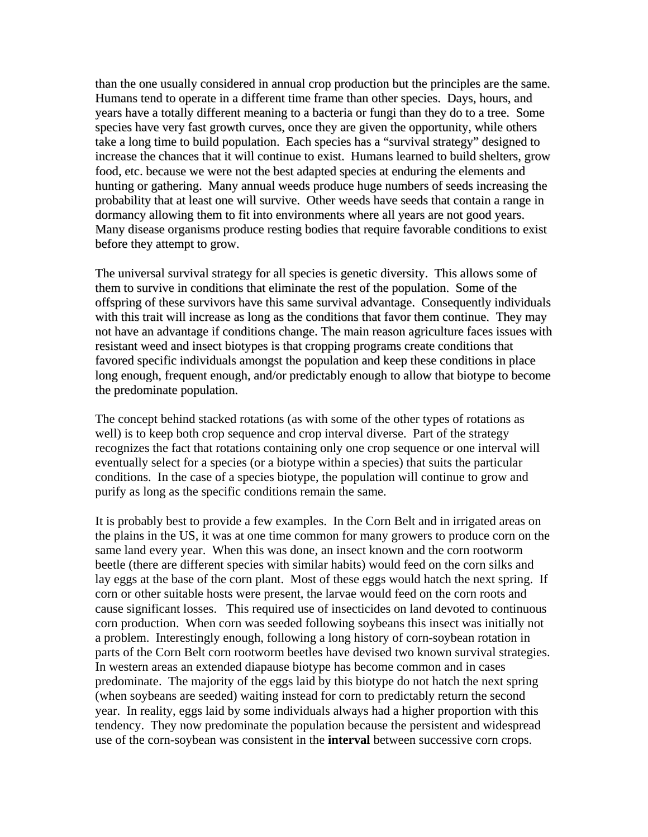than the one usually considered in annual crop production but the principles are the same. Humans tend to operate in a different time frame than other species. Days, hours, and years have a totally different meaning to a bacteria or fungi than they do to a tree. Some species have very fast growth curves, once they are given the opportunity, while others take a long time to build population. Each species has a "survival strategy" designed to increase the chances that it will continue to exist. Humans learned to build shelters, grow food, etc. because we were not the best adapted species at enduring the elements and hunting or gathering. Many annual weeds produce huge numbers of seeds increasing the probability that at least one will survive. Other weeds have seeds that contain a range in dormancy allowing them to fit into environments where all years are not good years. Many disease organisms produce resting bodies that require favorable conditions to exist before they attempt to grow.

The universal survival strategy for all species is genetic diversity. This allows some of them to survive in conditions that eliminate the rest of the population. Some of the offspring of these survivors have this same survival advantage. Consequently individuals with this trait will increase as long as the conditions that favor them continue. They may not have an advantage if conditions change. The main reason agriculture faces issues with resistant weed and insect biotypes is that cropping programs create conditions that favored specific individuals amongst the population and keep these conditions in place long enough, frequent enough, and/or predictably enough to allow that biotype to become the predominate population.

The concept behind stacked rotations (as with some of the other types of rotations as well) is to keep both crop sequence and crop interval diverse. Part of the strategy recognizes the fact that rotations containing only one crop sequence or one interval will eventually select for a species (or a biotype within a species) that suits the particular conditions. In the case of a species biotype, the population will continue to grow and purify as long as the specific conditions remain the same.

It is probably best to provide a few examples. In the Corn Belt and in irrigated areas on the plains in the US, it was at one time common for many growers to produce corn on the same land every year. When this was done, an insect known and the corn rootworm beetle (there are different species with similar habits) would feed on the corn silks and lay eggs at the base of the corn plant. Most of these eggs would hatch the next spring. If corn or other suitable hosts were present, the larvae would feed on the corn roots and cause significant losses. This required use of insecticides on land devoted to continuous corn production. When corn was seeded following soybeans this insect was initially not a problem. Interestingly enough, following a long history of corn-soybean rotation in parts of the Corn Belt corn rootworm beetles have devised two known survival strategies. In western areas an extended diapause biotype has become common and in cases predominate. The majority of the eggs laid by this biotype do not hatch the next spring (when soybeans are seeded) waiting instead for corn to predictably return the second year. In reality, eggs laid by some individuals always had a higher proportion with this tendency. They now predominate the population because the persistent and widespread use of the corn-soybean was consistent in the **interval** between successive corn crops.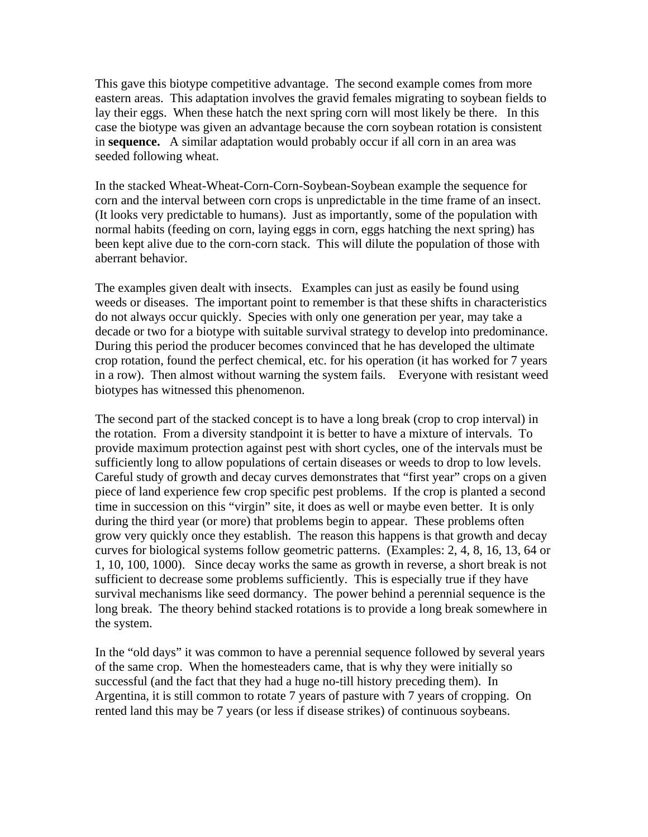This gave this biotype competitive advantage. The second example comes from more eastern areas. This adaptation involves the gravid females migrating to soybean fields to lay their eggs. When these hatch the next spring corn will most likely be there. In this case the biotype was given an advantage because the corn soybean rotation is consistent in **sequence.** A similar adaptation would probably occur if all corn in an area was seeded following wheat.

In the stacked Wheat-Wheat-Corn-Corn-Soybean-Soybean example the sequence for corn and the interval between corn crops is unpredictable in the time frame of an insect. (It looks very predictable to humans). Just as importantly, some of the population with normal habits (feeding on corn, laying eggs in corn, eggs hatching the next spring) has been kept alive due to the corn-corn stack. This will dilute the population of those with aberrant behavior.

The examples given dealt with insects. Examples can just as easily be found using weeds or diseases. The important point to remember is that these shifts in characteristics do not always occur quickly. Species with only one generation per year, may take a decade or two for a biotype with suitable survival strategy to develop into predominance. During this period the producer becomes convinced that he has developed the ultimate crop rotation, found the perfect chemical, etc. for his operation (it has worked for 7 years in a row). Then almost without warning the system fails. Everyone with resistant weed biotypes has witnessed this phenomenon.

The second part of the stacked concept is to have a long break (crop to crop interval) in the rotation. From a diversity standpoint it is better to have a mixture of intervals. To provide maximum protection against pest with short cycles, one of the intervals must be sufficiently long to allow populations of certain diseases or weeds to drop to low levels. Careful study of growth and decay curves demonstrates that "first year" crops on a given piece of land experience few crop specific pest problems. If the crop is planted a second time in succession on this "virgin" site, it does as well or maybe even better. It is only during the third year (or more) that problems begin to appear. These problems often grow very quickly once they establish. The reason this happens is that growth and decay curves for biological systems follow geometric patterns. (Examples: 2, 4, 8, 16, 13, 64 or 1, 10, 100, 1000). Since decay works the same as growth in reverse, a short break is not sufficient to decrease some problems sufficiently. This is especially true if they have survival mechanisms like seed dormancy. The power behind a perennial sequence is the long break. The theory behind stacked rotations is to provide a long break somewhere in the system.

In the "old days" it was common to have a perennial sequence followed by several years of the same crop. When the homesteaders came, that is why they were initially so successful (and the fact that they had a huge no-till history preceding them). In Argentina, it is still common to rotate 7 years of pasture with 7 years of cropping. On rented land this may be 7 years (or less if disease strikes) of continuous soybeans.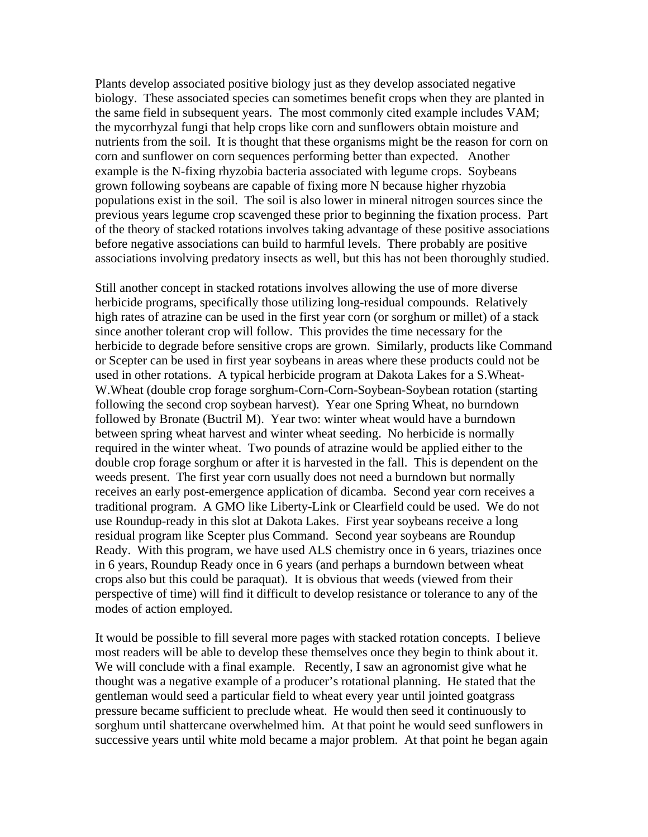Plants develop associated positive biology just as they develop associated negative biology. These associated species can sometimes benefit crops when they are planted in the same field in subsequent years. The most commonly cited example includes VAM; the mycorrhyzal fungi that help crops like corn and sunflowers obtain moisture and nutrients from the soil. It is thought that these organisms might be the reason for corn on corn and sunflower on corn sequences performing better than expected. Another example is the N-fixing rhyzobia bacteria associated with legume crops. Soybeans grown following soybeans are capable of fixing more N because higher rhyzobia populations exist in the soil. The soil is also lower in mineral nitrogen sources since the previous years legume crop scavenged these prior to beginning the fixation process. Part of the theory of stacked rotations involves taking advantage of these positive associations before negative associations can build to harmful levels. There probably are positive associations involving predatory insects as well, but this has not been thoroughly studied.

Still another concept in stacked rotations involves allowing the use of more diverse herbicide programs, specifically those utilizing long-residual compounds. Relatively high rates of atrazine can be used in the first year corn (or sorghum or millet) of a stack since another tolerant crop will follow. This provides the time necessary for the herbicide to degrade before sensitive crops are grown. Similarly, products like Command or Scepter can be used in first year soybeans in areas where these products could not be used in other rotations. A typical herbicide program at Dakota Lakes for a S.Wheat-W.Wheat (double crop forage sorghum-Corn-Corn-Soybean-Soybean rotation (starting following the second crop soybean harvest). Year one Spring Wheat, no burndown followed by Bronate (Buctril M). Year two: winter wheat would have a burndown between spring wheat harvest and winter wheat seeding. No herbicide is normally required in the winter wheat. Two pounds of atrazine would be applied either to the double crop forage sorghum or after it is harvested in the fall. This is dependent on the weeds present. The first year corn usually does not need a burndown but normally receives an early post-emergence application of dicamba. Second year corn receives a traditional program. A GMO like Liberty-Link or Clearfield could be used. We do not use Roundup-ready in this slot at Dakota Lakes. First year soybeans receive a long residual program like Scepter plus Command. Second year soybeans are Roundup Ready. With this program, we have used ALS chemistry once in 6 years, triazines once in 6 years, Roundup Ready once in 6 years (and perhaps a burndown between wheat crops also but this could be paraquat). It is obvious that weeds (viewed from their perspective of time) will find it difficult to develop resistance or tolerance to any of the modes of action employed.

It would be possible to fill several more pages with stacked rotation concepts. I believe most readers will be able to develop these themselves once they begin to think about it. We will conclude with a final example. Recently, I saw an agronomist give what he thought was a negative example of a producer's rotational planning. He stated that the gentleman would seed a particular field to wheat every year until jointed goatgrass pressure became sufficient to preclude wheat. He would then seed it continuously to sorghum until shattercane overwhelmed him. At that point he would seed sunflowers in successive years until white mold became a major problem. At that point he began again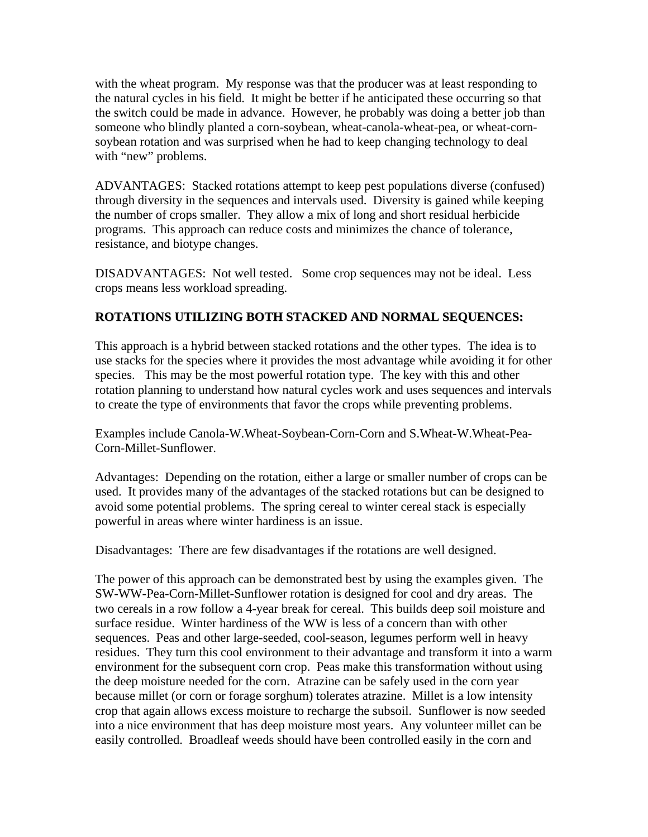with the wheat program. My response was that the producer was at least responding to the natural cycles in his field. It might be better if he anticipated these occurring so that the switch could be made in advance. However, he probably was doing a better job than someone who blindly planted a corn-soybean, wheat-canola-wheat-pea, or wheat-cornsoybean rotation and was surprised when he had to keep changing technology to deal with "new" problems.

ADVANTAGES: Stacked rotations attempt to keep pest populations diverse (confused) through diversity in the sequences and intervals used. Diversity is gained while keeping the number of crops smaller. They allow a mix of long and short residual herbicide programs. This approach can reduce costs and minimizes the chance of tolerance, resistance, and biotype changes.

DISADVANTAGES: Not well tested. Some crop sequences may not be ideal. Less crops means less workload spreading.

### **ROTATIONS UTILIZING BOTH STACKED AND NORMAL SEQUENCES:**

This approach is a hybrid between stacked rotations and the other types. The idea is to use stacks for the species where it provides the most advantage while avoiding it for other species. This may be the most powerful rotation type. The key with this and other rotation planning to understand how natural cycles work and uses sequences and intervals to create the type of environments that favor the crops while preventing problems.

Examples include Canola-W.Wheat-Soybean-Corn-Corn and S.Wheat-W.Wheat-Pea-Corn-Millet-Sunflower.

Advantages: Depending on the rotation, either a large or smaller number of crops can be used. It provides many of the advantages of the stacked rotations but can be designed to avoid some potential problems. The spring cereal to winter cereal stack is especially powerful in areas where winter hardiness is an issue.

Disadvantages: There are few disadvantages if the rotations are well designed.

The power of this approach can be demonstrated best by using the examples given. The SW-WW-Pea-Corn-Millet-Sunflower rotation is designed for cool and dry areas. The two cereals in a row follow a 4-year break for cereal. This builds deep soil moisture and surface residue. Winter hardiness of the WW is less of a concern than with other sequences. Peas and other large-seeded, cool-season, legumes perform well in heavy residues. They turn this cool environment to their advantage and transform it into a warm environment for the subsequent corn crop. Peas make this transformation without using the deep moisture needed for the corn. Atrazine can be safely used in the corn year because millet (or corn or forage sorghum) tolerates atrazine. Millet is a low intensity crop that again allows excess moisture to recharge the subsoil. Sunflower is now seeded into a nice environment that has deep moisture most years. Any volunteer millet can be easily controlled. Broadleaf weeds should have been controlled easily in the corn and